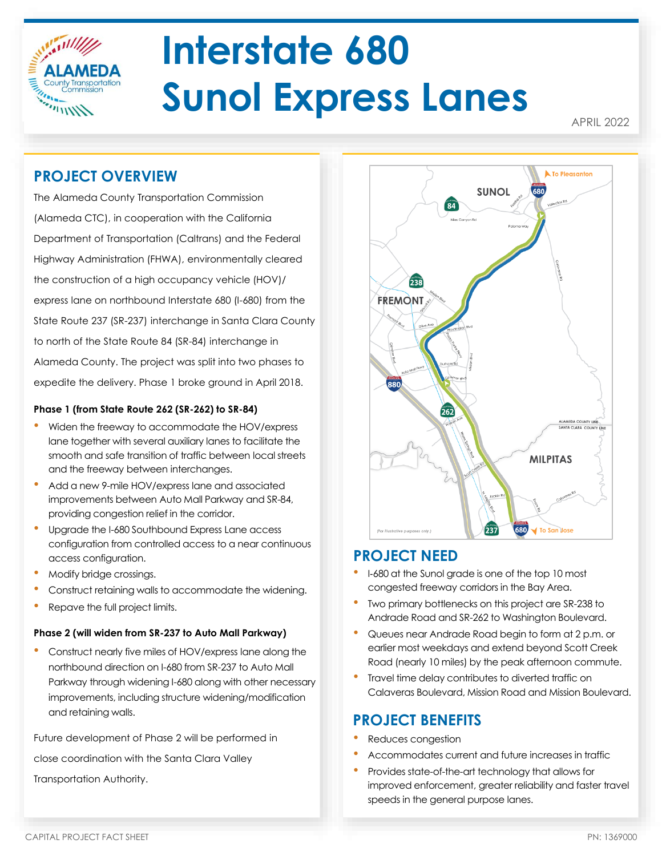

# **Interstate 680 Sunol Express Lanes**

APRIL 2022

# **PROJECT OVERVIEW**

The Alameda County Transportation Commission (Alameda CTC), in cooperation with the California Department of Transportation (Caltrans) and the Federal Highway Administration (FHWA), environmentally cleared the construction of a high occupancy vehicle (HOV)/ express lane on northbound Interstate 680 (I-680) from the State Route 237 (SR-237) interchange in Santa Clara County to north of the State Route 84 (SR-84) interchange in Alameda County. The project was split into two phases to expedite the delivery. Phase 1 broke ground in April 2018.

#### **Phase 1 (from State Route 262 (SR-262) to SR-84)**

- Widen the freeway to accommodate the HOV/express lane together with several auxiliary lanes to facilitate the smooth and safe transition of traffic between local streets and the freeway between interchanges.
- Add a new 9-mile HOV/express lane and associated improvements between Auto Mall Parkway and SR-84, providing congestion relief in the corridor.
- Upgrade the I-680 Southbound Express Lane access configuration from controlled access to a near continuous access configuration.
- Modify bridge crossings.
- Construct retaining walls to accommodate the widening.
- Repave the full project limits.

#### **Phase 2 (will widen from SR-237 to Auto Mall Parkway)**

• Construct nearly five miles of HOV/express lane along the northbound direction on I-680 from SR-237 to Auto Mall Parkway through widening I-680 along with other necessary improvements, including structure widening/modification and retaining walls.

Future development of Phase 2 will be performed in close coordination with the Santa Clara Valley Transportation Authority.



## **PROJECT NEED**

- <sup>I</sup>‐680 at the Sunol grade is one of the top 10 most congested freeway corridors in the Bay Area.
- Two primary bottlenecks on this project are SR-238 to Andrade Road and SR-262 to Washington Boulevard.
- Queues near Andrade Road begin to form at 2 p.m. or earlier most weekdays and extend beyond Scott Creek Road (nearly 10 miles) by the peak afternoon commute.
- Travel time delay contributes to diverted traffic on Calaveras Boulevard, Mission Road and Mission Boulevard.

# **PROJECT BENEFITS**

- Reduces congestion
- Accommodates current and future increases in traffic
- Provides state-of-the-art technology that allows for improved enforcement, greater reliability and faster travel speeds in the general purpose lanes.